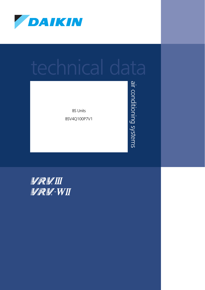

BS Units BSV4Q100P7V1 air conditioning systems air conditioning systems

**T君影WI**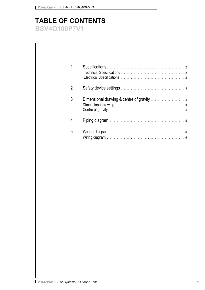## **TABLE OF CONTENTS BSV4Q100P7V1**

| 1              |  |
|----------------|--|
| $\mathfrak{p}$ |  |
| 3              |  |
|                |  |
| 5              |  |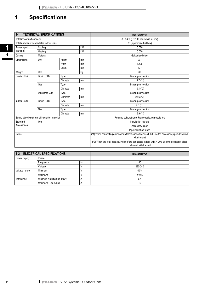# **1 Specifications**

| $1 - 1$<br><b>TECHNICAL SPECIFICATIONS</b>  |               |                 |    | BSV4Q100P7V1                                                                                                               |
|---------------------------------------------|---------------|-----------------|----|----------------------------------------------------------------------------------------------------------------------------|
| Total indoor unit capacity                  |               |                 |    | $A \le 400$ ( $\le 100$ per individual box)                                                                                |
| Total number of connectable indoor units    |               |                 |    | 20 (5 per individual box)                                                                                                  |
| Power input                                 | kW<br>Cooling |                 |    | 0.020                                                                                                                      |
| (nominal)                                   | kW<br>Heating |                 |    | 0.020                                                                                                                      |
| Casing                                      | Material      |                 |    | Galvanised steel                                                                                                           |
| <b>Dimensions</b>                           | Unit          | Height          | mm | 207                                                                                                                        |
|                                             |               | Width           | mm | 1.538                                                                                                                      |
|                                             |               | Depth           | mm | 777                                                                                                                        |
| Weight                                      | Unit          | kg              |    | 69                                                                                                                         |
| Outdoor Unit                                | Liquid (OD)   | Type            |    | Brazing connection                                                                                                         |
|                                             |               | <b>Diameter</b> | mm | 12.7 $(*)$                                                                                                                 |
|                                             | Gas           | Type            |    | Brazing connection                                                                                                         |
|                                             |               | Diameter        | mm | $19.1$ (*2)                                                                                                                |
|                                             | Discharge Gas | Type            |    | Brazing connection                                                                                                         |
|                                             |               | <b>Diameter</b> | mm | 28.6 (*2)                                                                                                                  |
| <b>Indoor Units</b>                         | Liquid (OD)   | Type            |    | Brazing connection                                                                                                         |
|                                             |               | <b>Diameter</b> | mm | $9.5$ (*1)                                                                                                                 |
|                                             | Gas           | Type            |    | Brazing connection                                                                                                         |
|                                             |               | Diameter        | mm | $15.9$ (*1)                                                                                                                |
| Sound absorbing thermal insulation material |               |                 |    | Foamed polyurethane, Frame resisting needle felt                                                                           |
| Standard                                    | Item          |                 |    | Installation manual                                                                                                        |
| Accessories                                 |               |                 |    | Accessory pipes                                                                                                            |
|                                             |               |                 |    | Pipe insulation tubes                                                                                                      |
| <b>Notes</b>                                |               |                 |    | (*1) When connecting an indoor unit from capacity class 20-50, use the accessory pipes delivered<br>with the unit          |
|                                             |               |                 |    | (*2) When the total capacity index of the connected indoor units < 290, use the accessory pipes<br>delivered with the unit |

| $1 - 2$       | <b>ELECTRICAL SPECIFICATIONS</b> |            | <b>BSV4Q100P7V1</b> |
|---------------|----------------------------------|------------|---------------------|
| Power Supply  | Phase                            |            | ∼                   |
|               | Frequency                        | Hz         | 50                  |
|               | Voltage                          |            | 220-240             |
| Voltage range | Minimum                          |            | $-10%$              |
|               | Maximum                          |            | $+10%$              |
| Total circuit | Minimum circuit amps (MCA)       |            | 0.4                 |
|               | Maximum Fuse Amps                | $\sqrt{ }$ | 10                  |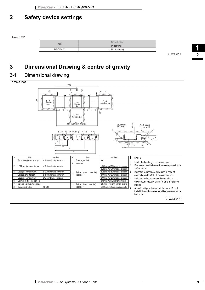## **2 Safety device settings**



## **3 Dimensional Drawing & centre of gravity**

#### 3-1 Dimensional drawing



**1 2**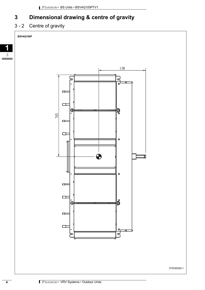### **3 Dimensional drawing & centre of gravity**

### 3 - 2 Centre of gravity

**BSV4Q100P**

**1 3**



3TW30529-1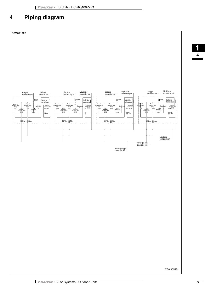## **4 Piping diagram**



**1 4**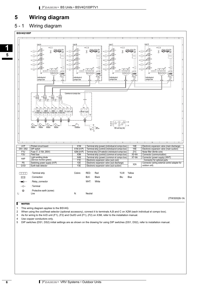#### **5 Wiring diagram**

#### 5 - 1 Wiring diagram



#### П NOTES

1 This wiring diagram applies to the BSV4Q.

2 When using the cool/heat selector (optional accessory), connect it to terminals A,B and C on X2M (each individual el compo box).

3 As for wiring to the In/D unit (F1), (F2) and Out/D unit (F1), (F2) on X3M, refer to the installation manual.

4 Use copper conductors only.

5 DIP switches (DS1, DS2) initial settings are as shown on the drawing for using DIP switches (DS1, DS2), refer to installation manual.